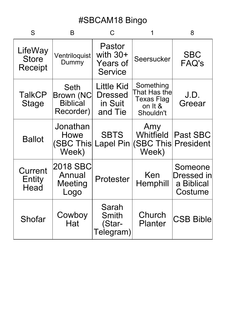| S                                  | B                                                 | $\mathsf{C}$                                              |                                                                        | 8                                                     |
|------------------------------------|---------------------------------------------------|-----------------------------------------------------------|------------------------------------------------------------------------|-------------------------------------------------------|
| LifeWay<br><b>Store</b><br>Receipt | Ventriloquist<br>Dummy                            | Pastor<br>with $30+$<br><b>Years of</b><br><b>Service</b> | Seersucker                                                             | <b>SBC</b><br><b>FAQ's</b>                            |
| <b>TalkCP</b><br><b>Stage</b>      | Seth<br>Brown (NC<br><b>Biblical</b><br>Recorder) | Little Kid<br><b>Dressed</b><br>in Suit<br>and Tie        | Something<br>That Has the<br><b>Texas Flag</b><br>on It &<br>Shouldn't | J.D.<br>Greear                                        |
| <b>Ballot</b>                      | Jonathan<br>Howe<br>(SBC This<br>Week)            | <b>SBTS</b><br><b>Lapel Pin</b>                           | Amy<br>Whitfield<br>(SBC This President<br>Week)                       | <b>Past SBC</b>                                       |
| Current<br>Entity<br>Head          | 2018 SBC<br>Annual<br><b>Meeting</b><br>Logo      | Protester                                                 | Ken<br>Hemphill                                                        | Someone<br><b>Dressed</b> in<br>a Biblical<br>Costume |
| Shofar                             | Cowboy<br>Hat                                     | Sarah<br>Smith<br>(Star-<br>Telegram)                     | Church<br><b>Planter</b>                                               | <b>CSB Bible</b>                                      |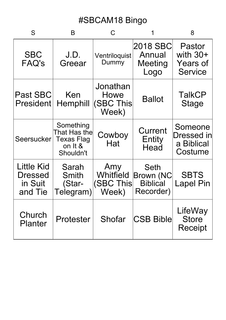| S                                           | B                                                                      |                                        |                                                          | 8                                                         |
|---------------------------------------------|------------------------------------------------------------------------|----------------------------------------|----------------------------------------------------------|-----------------------------------------------------------|
| <b>SBC</b><br><b>FAQ's</b>                  | J.D.<br>Greear                                                         | Ventriloquist<br>Dummy                 | 2018 SBC<br>Annual<br>Meeting<br>Logo                    | Pastor<br>with $30+$<br><b>Years of</b><br><b>Service</b> |
| <b>Past SBC</b><br><b>President</b>         | Ken<br>Hemphill                                                        | Jonathan<br>Howe<br>(SBC This<br>Week) | <b>Ballot</b>                                            | <b>TalkCP</b><br><b>Stage</b>                             |
| Seersucker                                  | Something<br>That Has the<br><b>Texas Flag</b><br>on It &<br>Shouldn't | Cowboy<br>Hat                          | Current<br>Entity<br>Head                                | Someone<br>Dressed in<br>a Biblical<br>Costume            |
| Little Kid<br>Dressed<br>in Suit<br>and Tie | Sarah<br><b>Smith</b><br>(Star-<br>Telegram)                           | Amy<br>Whitfield<br>(SBC This<br>Week) | Seth<br><b>Brown (NC</b><br><b>Biblical</b><br>Recorder) | <b>SBTS</b><br><b>Lapel Pin</b>                           |
| Church<br><b>Planter</b>                    | Protester                                                              | Shofar                                 | <b>CSB Bible</b>                                         | LifeWay<br><b>Store</b><br><b>Receipt</b>                 |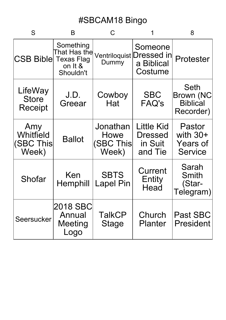| S                                         | B                                                 |                                        |                                                              | 8                                                         |
|-------------------------------------------|---------------------------------------------------|----------------------------------------|--------------------------------------------------------------|-----------------------------------------------------------|
| <b>CSB Bible Texas Flag</b>               | Something<br>That Has the<br>on It &<br>Shouldn't | Dummy                                  | Someone<br>Ventriloquist Dressed in<br>a Biblical<br>Costume | Protester                                                 |
| LifeWay<br><b>Store</b><br><b>Receipt</b> | J.D.<br>Greear                                    | Cowboy<br>Hat                          | <b>SBC</b><br><b>FAQ's</b>                                   | Seth<br>Brown (NC<br><b>Biblical</b><br>Recorder)         |
| Amy<br>Whitfield<br>(SBC This<br>Week)    | <b>Ballot</b>                                     | Jonathan<br>Howe<br>(SBC This<br>Week) | Little Kid<br><b>Dressed</b><br>in Suit<br>and Tie           | Pastor<br>with $30+$<br><b>Years of</b><br><b>Service</b> |
| Shofar                                    | Ken<br>Hemphill                                   | <b>SBTS</b><br><b>Lapel Pin</b>        | Current<br>Entity<br>Head                                    | Sarah<br><b>Smith</b><br>(Star-<br>Telegram)              |
| Seersucker                                | 2018 SBC<br>Annual<br><b>Meeting</b><br>Logo      | <b>TalkCP</b><br><b>Stage</b>          | Church<br><b>Planter</b>                                     | <b>Past SBC</b><br><b>President</b>                       |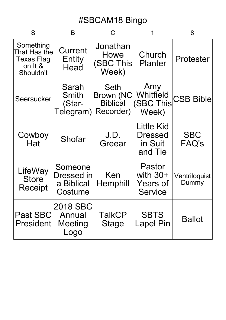| S                                                                      | B                                              |                                                          |                                                    | 8                          |
|------------------------------------------------------------------------|------------------------------------------------|----------------------------------------------------------|----------------------------------------------------|----------------------------|
| Something<br>That Has the<br><b>Texas Flag</b><br>on It &<br>Shouldn't | Current<br>Entity<br>Head                      | Jonathan<br>Howe<br>(SBC This<br>Week)                   | Church<br><b>Planter</b>                           | Protester                  |
| Seersucker                                                             | Sarah<br>Smith<br>(Star-<br>Telegram)          | <b>Seth</b><br>Brown (NC<br><b>Biblical</b><br>Recorder) | Amy<br>Whitfield<br>(SBC This<br>Week)             | <b>CSB Bible</b>           |
| Cowboy<br>Hat                                                          | Shofar                                         | J.D.<br>Greear                                           | <b>Little Kid</b><br>Dressed<br>in Suit<br>and Tie | <b>SBC</b><br><b>FAQ's</b> |
| LifeWay<br><b>Store</b><br>Receipt                                     | Someone<br>Dressed in<br>a Biblical<br>Costume | Ken<br>Hemphill                                          | Pastor<br>with $30+$<br>Years of<br><b>Service</b> | Ventriloquist<br>Dummy     |
| Past SBC<br><b>President</b>                                           | 2018 SBC<br>Annual<br><b>Meeting</b><br>Logo   | <b>TalkCP</b><br><b>Stage</b>                            | <b>SBTS</b><br><b>Lapel Pin</b>                    | Ballot                     |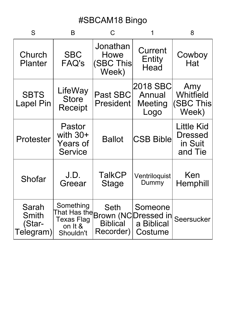| S                                     | B                                                  |                                               |                                                                       | 8                                                         |
|---------------------------------------|----------------------------------------------------|-----------------------------------------------|-----------------------------------------------------------------------|-----------------------------------------------------------|
| Church<br><b>Planter</b>              | <b>SBC</b><br><b>FAQ's</b>                         | Jonathan<br>Howe<br><b>(SBC This</b><br>Week) | Current<br>Entity<br>Head                                             | Cowboy<br>Hat                                             |
| <b>SBTS</b><br><b>Lapel Pin</b>       | LifeWay<br><b>Store</b><br><b>Receipt</b>          | <b>Past SBC</b><br>President                  | 2018 SBC<br>Annual<br>Meeting<br>Logo                                 | Amy<br>Whitfield<br>(SBC This<br>Week)                    |
| Protester                             | Pastor<br>with $30+$<br>Years of<br><b>Service</b> | <b>Ballot</b>                                 | <b>CSB Bible</b>                                                      | <b>Little Kid</b><br><b>Dressed</b><br>in Suit<br>and Tie |
| Shofar                                | J.D.<br>Greear                                     | <b>TalkCP</b><br><b>Stage</b>                 | Ventriloquist<br>Dummy                                                | Ken<br>Hemphill                                           |
| Sarah<br>Smith<br>(Star-<br>Telegram) | Something<br>Texas Flag<br>on It &<br>Shouldn't    | <b>Seth</b><br><b>Biblical</b><br>Recorder)   | Someone<br>That Has the Brown (NC Dressed in<br>a Biblical<br>Costume | Seersucker                                                |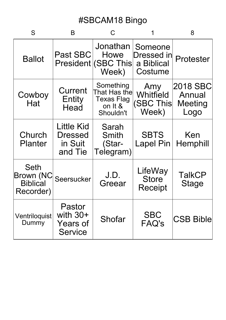| S                                                               | B                                                  |                                                                        |                                                | 8                                     |
|-----------------------------------------------------------------|----------------------------------------------------|------------------------------------------------------------------------|------------------------------------------------|---------------------------------------|
| <b>Ballot</b>                                                   | <b>Past SBC</b>                                    | Jonathan<br>Howe<br>President (SBC This<br>Week)                       | Someone<br>Dressed in<br>a Biblical<br>Costume | Protester                             |
| Cowboy<br>Hat                                                   | Current<br>Entity<br>Head                          | Something<br>That Has the<br><b>Texas Flag</b><br>on It &<br>Shouldn't | Amy<br>Whitfield<br>(SBC This<br>Week)         | 2018 SBC<br>Annual<br>Meeting<br>Logo |
| Church<br><b>Planter</b>                                        | Little Kid<br>Dressed<br>in Suit<br>and Tie        | Sarah<br>Smith<br>(Star-<br>Telegram)                                  | <b>SBTS</b><br><b>Lapel Pin</b>                | Ken<br>Hemphill                       |
| <b>Seth</b><br><b>Brown (NC</b><br><b>Biblical</b><br>Recorder) | Seersucker                                         | J.D.<br>Greear                                                         | LifeWay<br><b>Store</b><br>Receipt             | <b>TalkCP</b><br><b>Stage</b>         |
| Ventriloquist<br>Dummy                                          | Pastor<br>with $30+$<br>Years of<br><b>Service</b> | Shofar                                                                 | <b>SBC</b><br><b>FAQ's</b>                     | <b>CSB Bible</b>                      |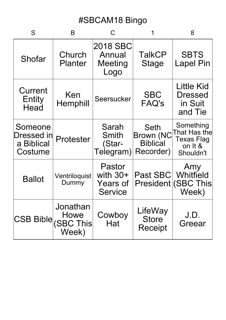| S                                               | B                         | C                                                         |                                                          | 8                                                                      |
|-------------------------------------------------|---------------------------|-----------------------------------------------------------|----------------------------------------------------------|------------------------------------------------------------------------|
| Shofar                                          | Church<br><b>Planter</b>  | 2018 SBC<br>Annual<br>Meeting<br>Logo                     | TalkCP<br><b>Stage</b>                                   | <b>SBTS</b><br><b>Lapel Pin</b>                                        |
| Current<br>Entity<br>Head                       | Ken<br>Hemphill           | Seersucker                                                | <b>SBC</b><br><b>FAQ's</b>                               | Little Kid<br><b>Dressed</b><br>in Suit<br>and Tie                     |
| Someone<br>∣Dressed in<br>a Biblical<br>Costume | Protester                 | Sarah<br>Smith<br>(Star-<br>Telegram)                     | Seth<br><b>Brown (NC</b><br><b>Biblical</b><br>Recorder) | Something<br>That Has the<br><b>Texas Flag</b><br>on It &<br>Shouldn't |
| <b>Ballot</b>                                   | Ventriloquist<br>Dummy    | Pastor<br>with $30+$<br><b>Years of</b><br><b>Service</b> | Past SBC                                                 | Amy<br>Whitfield<br><b>President (SBC This</b><br>Week)                |
| CSB Bible (SBC This                             | Jonathan<br>Howe<br>Week) | Cowboy<br>Hat                                             | LifeWay<br><b>Store</b><br><b>Receipt</b>                | J.D.<br>Greear                                                         |